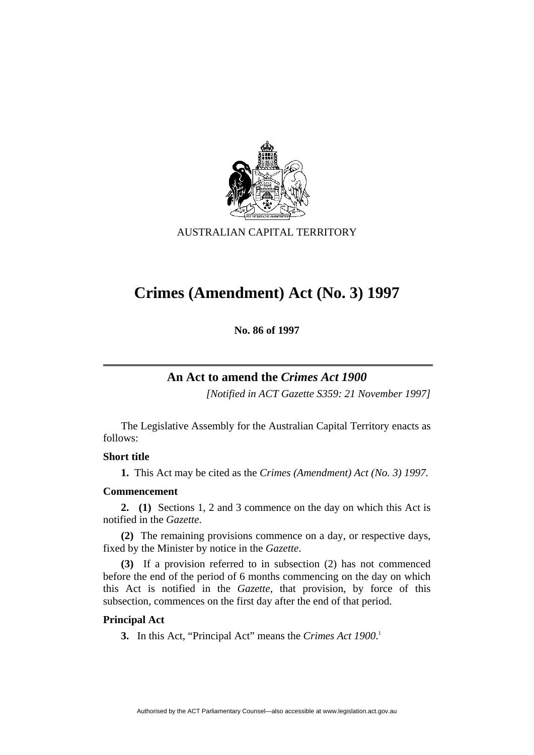

AUSTRALIAN CAPITAL TERRITORY

# **Crimes (Amendment) Act (No. 3) 1997**

**No. 86 of 1997** 

## **An Act to amend the** *Crimes Act 1900*

*[Notified in ACT Gazette S359: 21 November 1997]*

 The Legislative Assembly for the Australian Capital Territory enacts as follows:

## **Short title**

**1.** This Act may be cited as the *Crimes (Amendment) Act (No. 3) 1997.*

## **Commencement**

**2. (1)** Sections 1, 2 and 3 commence on the day on which this Act is notified in the *Gazette*.

**(2)** The remaining provisions commence on a day, or respective days, fixed by the Minister by notice in the *Gazette*.

**(3)** If a provision referred to in subsection (2) has not commenced before the end of the period of 6 months commencing on the day on which this Act is notified in the *Gazette*, that provision, by force of this subsection, commences on the first day after the end of that period.

## **Principal Act**

**3.** In this Act, "Principal Act" means the *Crimes Act 1900*. 1